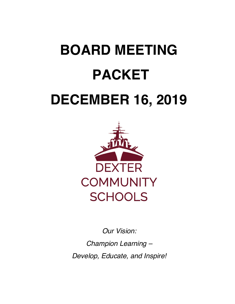# **BOARD MEETING DECEMBER 16, 2019 PACKET**



 *Champion Learning – Develop, Educate, and Inspire! Our Vision:*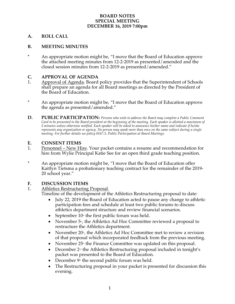#### **SPECIAL MEETING DECEMBER 16, 2019 7:00pm BOARD NOTES**

#### **A. ROLL CALL**

#### **B. MEETING MINUTES**

 **\*** An appropriate motion might be, "I move that the Board of Education approve the attached meeting minutes from 12-2-2019 as presented/amended and the closed session minutes from 12-2-2019 as presented/amended."

#### **C. APPROVAL OF AGENDA**

- 1. Approval of Agenda. Board policy provides that the Superintendent of Schools shall prepare an agenda for all Board meetings as directed by the President of the Board of Education.
- the agenda as presented/amended." \* An appropriate motion might be, "I move that the Board of Education approve
- **D. PUBLIC PARTICIPATION:** *Persons who wish to address the Board may complete a Public Comment Card to be presented to the Board president at the beginning of the meeting. Each speaker is allotted a maximum of 5 minutes unless otherwise notified. Each speaker will be asked to announce his/her name and indicate if he/she represents any organization or agency. No person may speak more than once on the same subject during a single meeting. For further details see policy 0167.3, Public Participation at Board Meetings.*

#### **E. CONSENT ITEMS**

- 1. Personnel New Hire. Your packet contains a resume and recommendation for hire from Wylie Principal Katie See for an open third grade teaching position.
- Kaitlyn Tietsma a probationary teaching contract for the remainder of the 2019- 20 school year." \* An appropriate motion might be, "I move that the Board of Education offer

#### **F. DISCUSSION ITEMS**

#### $1<sub>1</sub>$ Athletics Restructuring Proposal.

Timeline of the development of the Athletics Restructuring proposal to date:

- July 22, 2019 the Board of Education acted to pause any change to athletic participation fees and schedule at least two public forums to discuss athletics department structure and review financial scenarios.
- September  $10<sup>th</sup>$  the first public forum was held.
- November 5<sup>th</sup>, the Athletics Ad Hoc Committee reviewed a proposal to restructure the Athletics department.
- November  $20<sup>th</sup>$ , the Athletics Ad Hoc Committee met to review a revision of that proposal which incorporated feedback from the previous meeting.
- November  $25<sup>th</sup>$  the Finance Committee was updated on this proposal.
- December 2<sup>nd</sup> the Athletics Restructuring proposal included in tonight's packet was presented to the Board of Education.
- December  $9^{\text{th}}$  the second public forum was held.
- The Restructuring proposal in your packet is presented for discussion this evening.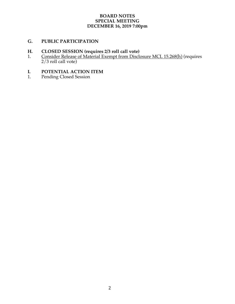#### **SPECIAL MEETING BOARD NOTES DECEMBER 16, 2019 7:00pm**

#### **G. PUBLIC PARTICIPATION**

#### **H. CLOSED SESSION (requires 2/3 roll call vote)**

1. Consider Release of Material Exempt from Disclosure MCL 15.268(h) (requires 2/3 roll call vote)

## **I.** POTENTIAL ACTION ITEM<br>1. Pending Closed Session

1. Pending Closed Session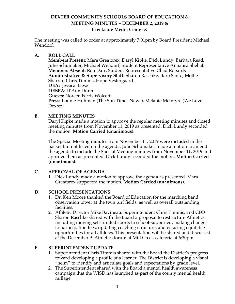#### **DEXTER COMMUNITY SCHOOLS BOARD OF EDUCATION** &  **MEETING MINUTES – DECEMBER 2, 2019** & **Creekside Media Center** &

 The meeting was called to order at approximately 7:01pm by Board President Michael Wendorf.

#### **A. ROLL CALL**

 **Members Present:** Mara Greatorex, Daryl Kipke, Dick Lundy, Barbara Read, Julie Schumaker, Michael Wendorf, Student Representative Annalisa Shehab **Members Absent:** Ron Darr, Student Representative Chad Robards **Administrative & Supervisory Staff:** Sharon Raschke, Barb Santo, Mollie Sharrar, Chris Timmis, Hope Vestergaard **Guests:** Noreen Ferris Wolcott **Press:** Lonnie Huhman (The Sun Times News), Melanie McIntyre (We Love **DEA:** Jessica Baese **DESPA:** D'Ann Dunn Dexter)

#### **B. MEETING MINUTES**

 Daryl Kipke made a motion to approve the regular meeting minutes and closed meeting minutes from November 11, 2019 as presented. Dick Lundy seconded the motion. **Motion Carried (unanimous).** 

 The Special Meeting minutes from November 11, 2019 were included in the packet but not listed on the agenda. Julie Schumaker made a motion to amend the agenda to include the Special Meeting minutes from November 11, 2019 and approve them as presented. Dick Lundy seconded the motion. **Motion Carried (unanimous).** 

#### **C. APPROVAL OF AGENDA**

1. Dick Lundy made a motion to approve the agenda as presented. Mara Greatorex supported the motion. **Motion Carried (unanimous).** 

#### **D. SCHOOL PRESENTATIONS**

- 1. Dr. Ken Moore thanked the Board of Education for the marching band observation tower at the twin turf fields, as well as overall outstanding facilities.
- facilities. 2. Athletic Director Mike Bavineau, Superintendent Chris Timmis, and CFO Sharon Raschke shared with the Board a proposal to restructure Athletics including moving self-funded sports to school-supported, making changes to participation fees, updating coaching structure, and ensuring equitable opportunities for all athletes. This presentation will be shared and discussed at the December 9<sub>th</sub> Athletics forum at Mill Creek cafeteria at 6:30pm.

#### E. **EUPERINTENDENT UPDATE**

- 1. Superintendent Chris Timmis shared with the Board the District's progress toward developing a profile of a learner. The District is developing a visual "helm" to identify and articulate goals and expectations by grade level.
- 2. The Superintendent shared with the Board a mental health awareness campaign that the WISD has launched as part of the county mental health millage. millage. 1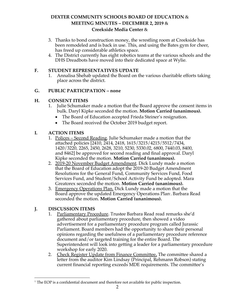#### **DEXTER COMMUNITY SCHOOLS BOARD OF EDUCATION** &  **MEETING MINUTES – DECEMBER 2, 2019** & **Creekside Media Center** &

- 3. Thanks to bond construction money, the wrestling room at Creekside has been remodeled and is back in use. This, and using the Bates gym for cheer, has freed up considerable athletics space.
- 4. The District currently has eight robotics teams at the various schools and the DHS Dreadbots have moved into their dedicated space at Wylie.

#### **F. STUDENT REPRESENTATIVES UPDATE**

1. Annalisa Shehab updated the Board on the various charitable efforts taking place across the district.

#### **G. PUBLIC PARTICIPATION – none**

#### **H. CONSENT ITEMS**

- 1. Julie Schumaker made a motion that the Board approve the consent items in bulk. Daryl Kipke seconded the motion. **Motion Carried (unanimous).** 
	- The Board of Education accepted Frieda Steiner's resignation.
	- The Board received the October 2019 budget report.

#### **I. ACTION ITEMS**

- 1. Polices Second Reading. Julie Schumaker made a motion that the attached policies [2410, 2414, 2418, 1615/3215/4215/5512/7434, 1420/3220, 2265, 2450, 2628, 3210, 5230, 5330.02, 6800, 7440.03, 8400, and 8462] be approved for second reading and final approval. Daryl Kipke seconded the motion. **Motion Carried (unanimous).**
- 2. 2019-20 November Budget Amendment. Dick Lundy made a motion that the Board of Education adopt the 2019-20 Budget Amendment Resolutions for the General Fund, Community Services Fund, Food Services Fund, and Student/School Activity Fund be adopted. Mara Greatorex seconded the motion. **Motion Carried (unanimous).**
- 3. Emergency Operations Plan. Dick Lundy made a motion that the Board approve the updated Emergency Operations Plan<sub>'</sub>. Barbara Read seconded the motion. **Motion Carried (unanimous).**

#### **J. DISCUSSION ITEMS**

- 1. Parliamentary Procedure. Trustee Barbara Read read remarks she'd gathered about parliamentary procedure, then showed a video advertisement for a parliamentary procedure program called Jurassic Parliament. Board members had the opportunity to share their personal opinions regarding the usefulness of a parliamentary procedure reference document and/or targeted training for the entire Board. The Superintendent will look into getting a leader for a parliamentary procedure workshop for early 2020.
- 2. Check Register Update from Finance Committee. The committee shared a letter from the auditor Kim Lindsay (Principal, Rehmann Robson) stating current financial reporting exceeds MDE requirements. The committee's

 $\overline{a}$  $<sup>1</sup>$  The EOP is a confidential document and therefore not available for public inspection.</sup>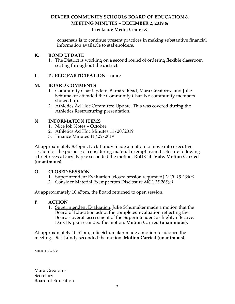#### **DEXTER COMMUNITY SCHOOLS BOARD OF EDUCATION** &  **MEETING MINUTES – DECEMBER 2, 2019** & **Creekside Media Center** &

 consensus is to continue present practices in making substantive financial information available to stakeholders.

#### **K. BOND UPDATE**

1. The District is working on a second round of ordering flexible classroom seating throughout the district.

#### **L. PUBLIC PARTICIPATION – none**

#### **M. BOARD COMMENTS**

- 1. Community Chat Update. Barbara Read, Mara Greatorex, and Julie Schumaker attended the Community Chat. No community members showed up.
- 2. <u>Athletics Ad Hoc Committee Update</u>. This was covered during the Athletics Restructuring presentation.

#### **N. INFORMATION ITEMS**

- 1. Nice Job Notes October
- 2. Athletics Ad Hoc Minutes 11/20/2019
- 3. Finance Minutes 11/25/2019

 At approximately 8:45pm, Dick Lundy made a motion to move into executive session for the purpose of considering material exempt from disclosure following a brief recess. Daryl Kipke seconded the motion. **Roll Call Vote. Motion Carried**  (unanimous).

#### **0.** CLOSED SESSION

- 1. Superintendent Evaluation (closed session requested) *MCL 15.268(a)*
- 2. Consider Material Exempt from Disclosure *MCL 15.268(h)*

At approximately 10:45pm, the Board returned to open session.

#### **P**. **P. ACTION**

1. Superintendent Evaluation. Julie Schumaker made a motion that the Board of Education adopt the completed evaluation reflecting the Board's overall assessment of the Superintendent as highly effective. Daryl Kipke seconded the motion. **Motion Carried (unanimous).** 

 At approximately 10:51pm, Julie Schumaker made a motion to adjourn the  meeting. Dick Lundy seconded the motion. **Motion Carried (unanimous).** 

MINUTES/hlv

 Secretary Board of Education Mara Greatorex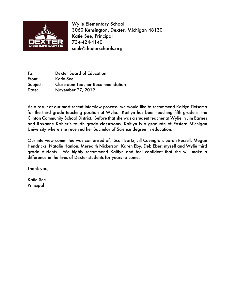

 Wylie Elementary School 3060 Kensington, Dexter, Michigan 48130 Katie See, Principal 734-424-4140 seek@dexterschools.org

 To: Dexter Board of Education Subject: Classroom Teacher Recommendation Date: November 27, 2019 From: Katie See

 As a result of our most recent interview process, we would like to recommend Kaitlyn Tietsema for the third grade teaching position at Wylie. Kaitlyn has been teaching fifth grade in the Clinton Community School District. Before that she was a student teacher at Wylie in Jim Barnes and Roxanne Kohler's fourth grade classrooms. Kaitlyn is a graduate of Eastern Michigan University where she received her Bachelor of Science degree in education.

 Our interview committee was comprised of: Scott Bartz, Jill Covington, Sarah Russell, Megan Hendricks, Natalie Hanlon, Meredith Nickerson, Karen Eby, Deb Eber, myself and Wylie third grade students. We highly recommend Kaitlyn and feel confident that she will make a difference in the lives of Dexter students for years to come.

Thank you,

Katie See Principal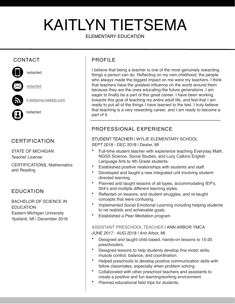## KAITLYN TIETSEMA

#### ELEMENTARY EDUCATION

## CONTACT



### CERTIFICATION

STATE OF MICHIGAN Teacher License

CERTIFICATIONS, Mathematics and Reading

#### EDUCATION

BACHELOR OF SCIENCE IN **EDUCATION** Eastern Michigan University Ypsilanti, MI I December 2018

### PROFIL<sub>F</sub>

I believe that being a teacher is one of the most genuinely rewarding things a person can do. Reflecting on my own childhood, the people who always made the biggest impact on me were my teachers. I think that teachers have the greatest influence on the world around them because they are the ones educating the future generations. I am eager to finally be a part of this great career. I have been working towards this goal of teaching my entire adult life, and feel that I am ready to put all of the things I have learned to the test. I truly believe that teaching is a very rewarding career, and I am ready to become a part of it.

### PROFESSIONAL EXPERIENCE

STUDENT TEACHER | WYLIE ELEMENTARY SCHOOL SEPT 2018 - DEC 2018 | Dexter, MI

- Full-time student teacher with experience teaching Everyday Math, NGSS Science, Social Studies, and Lucy Calkins English Language Arts to 4th Grade students.
- Established positive relationships with students and staff.
- Developed and taught a new integrated unit involving studentdirected learning.
- Planned and taught lessons of all types, accommodating IEP's, 504's and multiple different learning styles.
- Reflected on lessons, and student struggles, and re-taught concepts that were confusing.
- Implemented Social Emotional Learning including helping students to ret realistic and achievable goals.
- Established a Peer Mediation program

ASSISTANT PRESCHOOL TEACHER | ANN ARBOR YMCA JUNE 2017 - AUG 2018 | Ann Arbor, MI

- Designed and taught child based, hands-on lessons to 15-20 preschoolers.
- Designed lessons to help students develop fine motor skills, muscle control, balance, and coordination.
- Helped preschools to develop positive communication skills with fellow classmates, especially when problem solving.
- Collaborated with other preschool teachers and assistants to create a positive and fun learning/working environment.
- Planned educational field trips for students.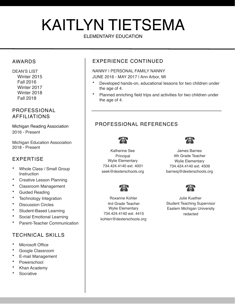## KAITLYN TIETSEMA

#### ELEMENTARY EDUCATION

#### AWARDS

DEAN'S LIST Winter 2015 Fall 2016 Winter 2017 Winter 2018 Fall 2018

### **PROFESSIONAL** AFFILIATIONS

Michigan Reading Association 2016 - Present

Michigan Education Association 2018 - Present

### EXPERTISE

- Whole Class / Small Group **Instruction**
- Creative Lesson Planning
- Classroom Management
- Guided Reading
- Technology Integration
- Discussion Circles
- Student-Based Learning
- Social Emotional Learning
- Parent-Teacher Communication

#### TECHNICAL SKILLS

- Microsoft Office
- Google Classroom
- E-mail Management
- Powerschool
- Khan Academy
- **Socrative**

#### EXPERIENCE CONTINUED

#### NANNY | PERSONAL FAMILY NANNY JUNE 2016 - MAY 2017 | Ann Arbor, MI

- Developed hands-on, educational lessons for two children under the age of 4.
- Planned enriching field trips and activities for two children under the age of 4.

### PROFESSIONAL REFERENCES



Katherine See **James Barnes** 



Principal 4th Grade Teacher Wylie Elementary **Wylie Elementary** 734.424.4140 ext. 4001 734.424.4140 ext. 4509 seek@dexterschools.org barnesj@dexterschools.org



Roxanne Kohler **Julie Kuether** 734.424.4140 ext. 4415 redacted kohlerr@dexterschools.org



4rd Grade Teacher Student Teaching Supervisor Wylie Elementary **Eastern Michigan University**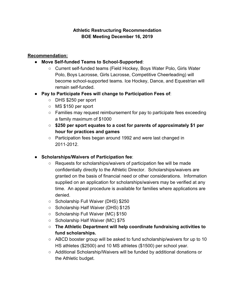#### **Athletic Restructuring Recommendation BOE Meeting December 16, 2019**

#### **Recommendation:**

- ● **Move Self-funded Teams to School-Supported**:
	- Current self-funded teams (Field Hockey, Boys Water Polo, Girls Water Polo, Boys Lacrosse, Girls Lacrosse, Competitive Cheerleading) will become school-supported teams. Ice Hockey, Dance, and Equestrian will remain self-funded.
- ● **Pay to Participate Fees will change to Participation Fees of**:
	- DHS \$250 per sport
	- MS \$150 per sport
	- Families may request reimbursement for pay to participate fees exceeding a family maximum of \$1000
	- **○ \$250 per sport equates to a cost for parents of approximately \$1 per hour for practices and games**
	- Participation fees began around 1992 and were last changed in 2011-2012.
- ● **Scholarships/Waivers of Participation fee**:
	- Requests for scholarships/waivers of participation fee will be made confidentially directly to the Athletic Director. Scholarships/waivers are granted on the basis of financial need or other considerations. Information supplied on an application for scholarships/waivers may be verified at any time. An appeal procedure is available for families where applications are denied.
	- ○ Scholarship Full Waiver (DHS) \$250
	- Scholarship Half Waiver (DHS) \$125
	- Scholarship Full Waiver (MC) \$150
	- Scholarship Half Waiver (MC) \$75
	- ○ **The Athletic Department will help coordinate fundraising activities to fund scholarships.**
	- $\circ$  ABCD booster group will be asked to fund scholarship/waivers for up to 10 HS athletes (\$2500) and 10 MS athletes (\$1500) per school year.
	- Additional Scholarship/Waivers will be funded by additional donations or the Athletic budget.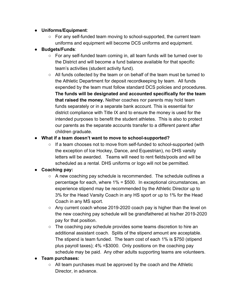- ● **Uniforms/Equipment**:
	- $\circ$  For any self-funded team moving to school-supported, the current team uniforms and equipment will become DCS uniforms and equipment.
- ● **Budgets/Funds**:
	- $\circ$  For any self-funded team coming in, all team funds will be turned over to the District and will become a fund balance available for that specific team's activities (student activity fund).
	- All funds collected by the team or on behalf of the team must be turned to the Athletic Department for deposit recordkeeping by team. All funds expended by the team must follow standard DCS policies and procedures. **The funds will be designated and accounted specifically for the team that raised the money.** Neither coaches nor parents may hold team funds separately or in a separate bank account. This is essential for district compliance with Title IX and to ensure the money is used for the intended purposes to benefit the student athletes. This is also to protect our parents as the separate accounts transfer to a different parent after children graduate.

#### **● What if a team doesn't want to move to school-supported?**

 $\circ$  If a team chooses not to move from self-funded to school-supported (with the exception of Ice Hockey, Dance, and Equestrian), no DHS varsity letters will be awarded. Teams will need to rent fields/pools and will be scheduled as a rental. DHS uniforms or logo will not be permitted.

#### ● **Coaching pay:**

- A new coaching pay schedule is recommended. The schedule outlines a percentage for each, where 1% = \$500. In exceptional circumstances, an experience stipend may be recommended by the Athletic Director up to 3% for the Head Varsity Coach in any HS sport or up to 1% for the Head Coach in any MS sport.
- $\circ$  Any current coach whose 2019-2020 coach pay is higher than the level on the new coaching pay schedule will be grandfathered at his/her 2019-2020 pay for that position.
- The coaching pay schedule provides some teams discretion to hire an additional assistant coach. Splits of the stipend amount are acceptable. The stipend is team funded. The team cost of each 1% is \$750 (stipend plus payroll taxes); 4% =\$3000. Only positions on the coaching pay schedule may be paid. Any other adults supporting teams are volunteers.
- **● Team purchases:** 
	- $\circ$  All team purchases must be approved by the coach and the Athletic Director, in advance.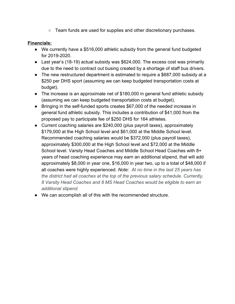$\circ$  Team funds are used for supplies and other discretionary purchases.

#### **Financials:**

- We currently have a \$516,000 athletic subsidy from the general fund budgeted for 2019-2020.
- Last year's (18-19) actual subsidy was \$624,000. The excess cost was primarily due to the need to contract out busing created by a shortage of staff bus drivers.
- The new restructured department is estimated to require a \$687,000 subsidy at a \$250 per DHS sport (assuming we can keep budgeted transportation costs at budget).
- The increase is an approximate net of \$180,000 in general fund athletic subsidy (assuming we can keep budgeted transportation costs at budget).
- Bringing in the self-funded sports creates \$67,000 of the needed increase in general fund athletic subsidy. This includes a contribution of \$41,000 from the proposed pay to participate fee of \$250 DHS for 164 athletes.
- Current coaching salaries are \$240,000 (plus payroll taxes), approximately \$179,000 at the High School level and \$61,000 at the Middle School level. Recommended coaching salaries would be \$372,000 (plus payroll taxes), approximately \$300,000 at the High School level and \$72,000 at the Middle School level. Varsity Head Coaches and Middle School Head Coaches with 8+ years of head coaching experience may earn an additional stipend, that will add approximately \$8,000 in year one, \$16,000 in year two, up to a total of \$48,000 if all coaches were highly experienced. *Note: At no time in the last 25 years has the district had all coaches at the top of the previous salary schedule. Currently, 8 Varsity Head Coaches and 8 MS Head Coaches would be eligible to earn an additional stipend.*
- We can accomplish all of this with the recommended structure.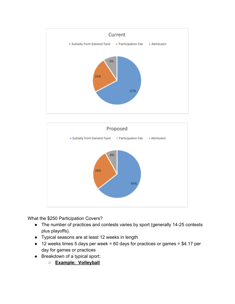



What the \$250 Participation Covers?

- The number of practices and contests varies by sport (generally 14-25 contests plus playoffs).
- ● Typical seasons are at least 12 weeks in length
- $\bullet$  12 weeks times 5 days per week = 60 days for practices or games = \$4.17 per day for games or practices
- Breakdown of a typical sport:
	- **○ Example: Volleyball**